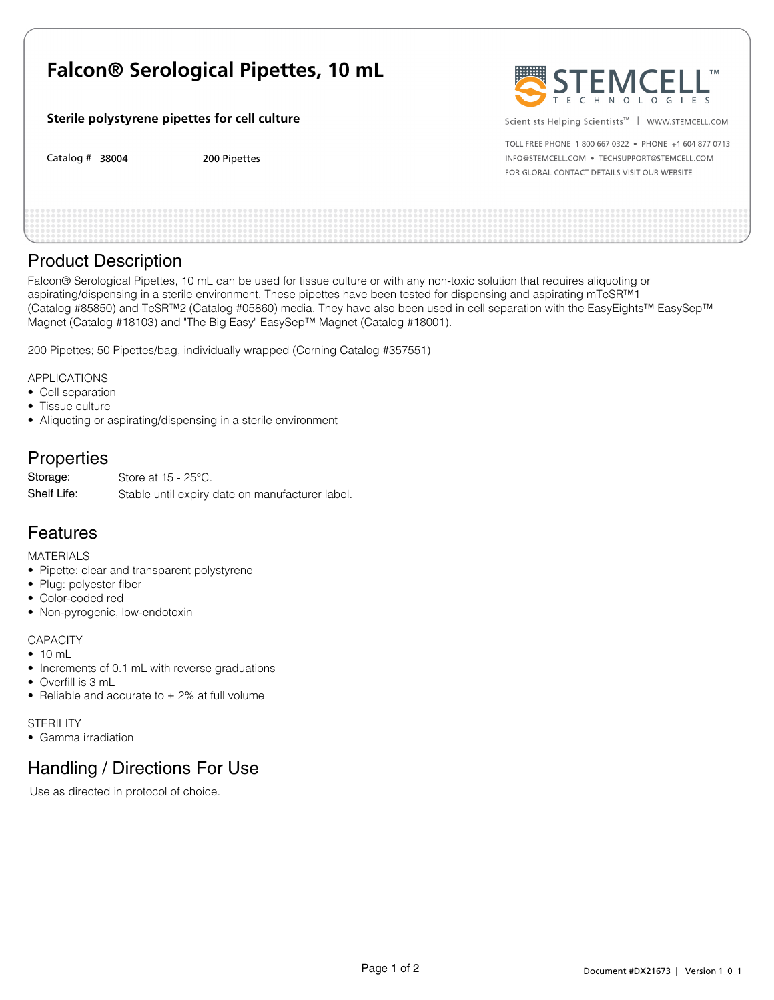# **Falcon® Serological Pipettes, 10 mL**

#### **Sterile polystyrene pipettes for cell culture**

Catalog # 38004 38004 200 Pipettes 200 Pipettes 200 Pipettes 200 Pipettes 200 Pipettes 200 Pipettes 200 Pipettes 200 Pipettes

Scientists Helping Scientists<sup>™</sup> | www.sTEMCELL.COM

TOLL FREE PHONE 1 800 667 0322 . PHONE +1 604 877 0713 INFO@STEMCELL.COM . TECHSUPPORT@STEMCELL.COM FOR GLOBAL CONTACT DETAILS VISIT OUR WEBSITE

### Product Description

Falcon® Serological Pipettes, 10 mL can be used for tissue culture or with any non-toxic solution that requires aliquoting or aspirating/dispensing in a sterile environment. These pipettes have been tested for dispensing and aspirating mTeSR™1 (Catalog #85850) and TeSR™2 (Catalog #05860) media. They have also been used in cell separation with the EasyEights™ EasySep™ Magnet (Catalog #18103) and "The Big Easy" EasySep™ Magnet (Catalog #18001).

200 Pipettes; 50 Pipettes/bag, individually wrapped (Corning Catalog #357551)

APPLICATIONS

- Cell separation
- Tissue culture
- Aliquoting or aspirating/dispensing in a sterile environment

# **Properties**

| Storage:    | Store at $15 - 25^{\circ}$ C.                   |
|-------------|-------------------------------------------------|
| Shelf Life: | Stable until expiry date on manufacturer label. |

# Features

MATERIALS

- Pipette: clear and transparent polystyrene
- Plug: polyester fiber
- Color-coded red
- Non-pyrogenic, low-endotoxin

#### **CAPACITY**

- 10 mL
- Increments of 0.1 mL with reverse graduations
- Overfill is 3 mL
- Reliable and accurate to  $\pm$  2% at full volume

**STERILITY** 

• Gamma irradiation

# Handling / Directions For Use

Use as directed in protocol of choice.